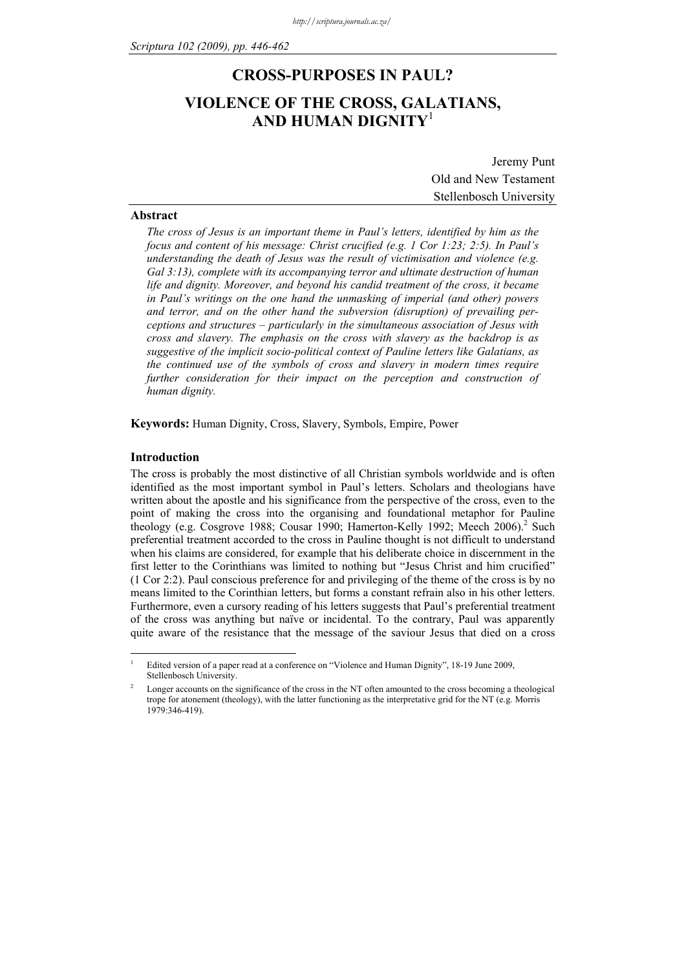## **CROSS-PURPOSES IN PAUL?**

# **VIOLENCE OF THE CROSS, GALATIANS, AND HUMAN DIGNITY**<sup>1</sup>

Jeremy Punt Old and New Testament Stellenbosch University

#### **Abstract**

*The cross of Jesus is an important theme in Paul's letters, identified by him as the focus and content of his message: Christ crucified (e.g. 1 Cor 1:23; 2:5). In Paul's understanding the death of Jesus was the result of victimisation and violence (e.g. Gal 3:13), complete with its accompanying terror and ultimate destruction of human life and dignity. Moreover, and beyond his candid treatment of the cross, it became in Paul's writings on the one hand the unmasking of imperial (and other) powers and terror, and on the other hand the subversion (disruption) of prevailing perceptions and structures – particularly in the simultaneous association of Jesus with cross and slavery. The emphasis on the cross with slavery as the backdrop is as suggestive of the implicit socio-political context of Pauline letters like Galatians, as the continued use of the symbols of cross and slavery in modern times require further consideration for their impact on the perception and construction of human dignity.* 

**Keywords:** Human Dignity, Cross, Slavery, Symbols, Empire, Power

#### **Introduction**

<u>.</u>

The cross is probably the most distinctive of all Christian symbols worldwide and is often identified as the most important symbol in Paul's letters. Scholars and theologians have written about the apostle and his significance from the perspective of the cross, even to the point of making the cross into the organising and foundational metaphor for Pauline theology (e.g. Cosgrove 1988; Cousar 1990; Hamerton-Kelly 1992; Meech 2006).<sup>2</sup> Such preferential treatment accorded to the cross in Pauline thought is not difficult to understand when his claims are considered, for example that his deliberate choice in discernment in the first letter to the Corinthians was limited to nothing but "Jesus Christ and him crucified" (1 Cor 2:2). Paul conscious preference for and privileging of the theme of the cross is by no means limited to the Corinthian letters, but forms a constant refrain also in his other letters. Furthermore, even a cursory reading of his letters suggests that Paul's preferential treatment of the cross was anything but naïve or incidental. To the contrary, Paul was apparently quite aware of the resistance that the message of the saviour Jesus that died on a cross

<sup>1</sup> Edited version of a paper read at a conference on "Violence and Human Dignity", 18-19 June 2009, Stellenbosch University.

<sup>2</sup> Longer accounts on the significance of the cross in the NT often amounted to the cross becoming a theological trope for atonement (theology), with the latter functioning as the interpretative grid for the NT (e.g. Morris 1979:346-419).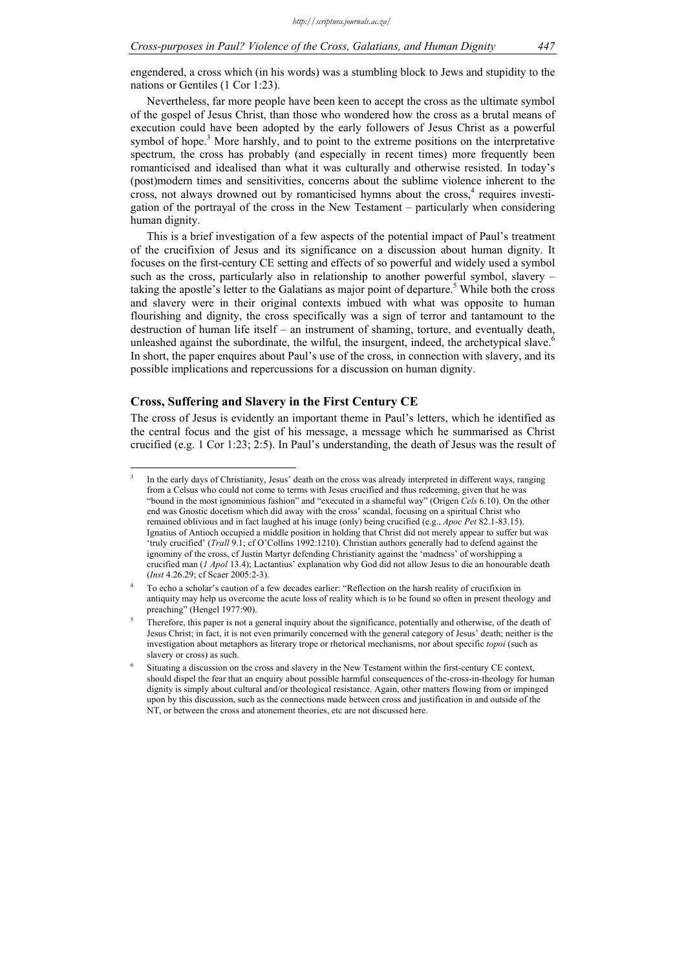engendered, a cross which (in his words) was a stumbling block to Jews and stupidity to the nations or Gentiles (1 Cor 1:23).

Nevertheless, far more people have been keen to accept the cross as the ultimate symbol of the gospel of Jesus Christ, than those who wondered how the cross as a brutal means of execution could have been adopted by the early followers of Jesus Christ as a powerful symbol of hope.<sup>3</sup> More harshly, and to point to the extreme positions on the interpretative spectrum, the cross has probably (and especially in recent times) more frequently been romanticised and idealised than what it was culturally and otherwise resisted. In today's (post)modern times and sensitivities, concerns about the sublime violence inherent to the cross, not always drowned out by romanticised hymns about the cross,<sup>4</sup> requires investigation of the portrayal of the cross in the New Testament – particularly when considering human dignity.

This is a brief investigation of a few aspects of the potential impact of Paul's treatment of the crucifixion of Jesus and its significance on a discussion about human dignity. It focuses on the first-century CE setting and effects of so powerful and widely used a symbol such as the cross, particularly also in relationship to another powerful symbol, slavery – taking the apostle's letter to the Galatians as major point of departure.<sup>5</sup> While both the cross and slavery were in their original contexts imbued with what was opposite to human flourishing and dignity, the cross specifically was a sign of terror and tantamount to the destruction of human life itself – an instrument of shaming, torture, and eventually death, unleashed against the subordinate, the wilful, the insurgent, indeed, the archetypical slave. $\degree$ In short, the paper enquires about Paul's use of the cross, in connection with slavery, and its possible implications and repercussions for a discussion on human dignity.

### **Cross, Suffering and Slavery in the First Century CE**

<u>.</u>

The cross of Jesus is evidently an important theme in Paul's letters, which he identified as the central focus and the gist of his message, a message which he summarised as Christ crucified (e.g. 1 Cor 1:23; 2:5). In Paul's understanding, the death of Jesus was the result of

<sup>3</sup> In the early days of Christianity, Jesus' death on the cross was already interpreted in different ways, ranging from a Celsus who could not come to terms with Jesus crucified and thus redeeming, given that he was "bound in the most ignominious fashion" and "executed in a shameful way" (Origen *Cels* 6.10). On the other end was Gnostic docetism which did away with the cross' scandal, focusing on a spiritual Christ who remained oblivious and in fact laughed at his image (only) being crucified (e.g., *Apoc Pet* 82.1-83.15). Ignatius of Antioch occupied a middle position in holding that Christ did not merely appear to suffer but was 'truly crucified' (*Trall* 9.1; cf O'Collins 1992:1210). Christian authors generally had to defend against the ignominy of the cross, cf Justin Martyr defending Christianity against the 'madness' of worshipping a crucified man (*1 Apol* 13.4); Lactantius' explanation why God did not allow Jesus to die an honourable death (*Inst* 4.26.29; cf Scaer 2005:2-3).

<sup>4</sup> To echo a scholar's caution of a few decades earlier: "Reflection on the harsh reality of crucifixion in antiquity may help us overcome the acute loss of reality which is to be found so often in present theology and preaching" (Hengel 1977:90).

<sup>5</sup> Therefore, this paper is not a general inquiry about the significance, potentially and otherwise, of the death of Jesus Christ; in fact, it is not even primarily concerned with the general category of Jesus' death; neither is the investigation about metaphors as literary trope or rhetorical mechanisms, nor about specific *topoi* (such as slavery or cross) as such.

<sup>6</sup> Situating a discussion on the cross and slavery in the New Testament within the first-century CE context, should dispel the fear that an enquiry about possible harmful consequences of the-cross-in-theology for human dignity is simply about cultural and/or theological resistance. Again, other matters flowing from or impinged upon by this discussion, such as the connections made between cross and justification in and outside of the NT, or between the cross and atonement theories, etc are not discussed here.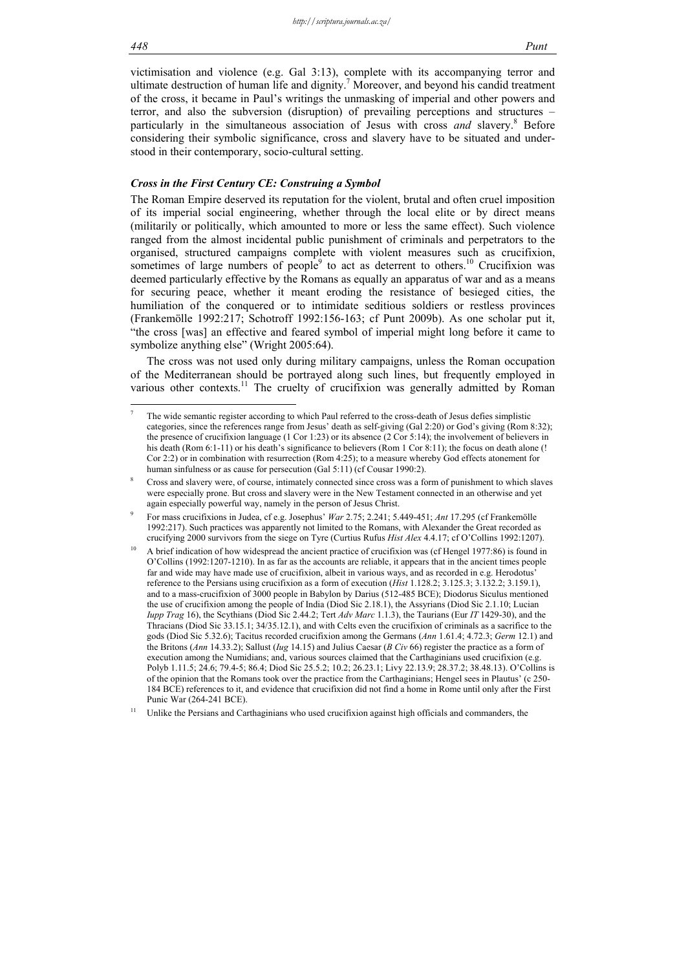victimisation and violence (e.g. Gal 3:13), complete with its accompanying terror and ultimate destruction of human life and dignity.<sup>7</sup> Moreover, and beyond his candid treatment of the cross, it became in Paul's writings the unmasking of imperial and other powers and terror, and also the subversion (disruption) of prevailing perceptions and structures – particularly in the simultaneous association of Jesus with cross *and* slavery.<sup>8</sup> Before considering their symbolic significance, cross and slavery have to be situated and understood in their contemporary, socio-cultural setting.

#### *Cross in the First Century CE: Construing a Symbol*

The Roman Empire deserved its reputation for the violent, brutal and often cruel imposition of its imperial social engineering, whether through the local elite or by direct means (militarily or politically, which amounted to more or less the same effect). Such violence ranged from the almost incidental public punishment of criminals and perpetrators to the organised, structured campaigns complete with violent measures such as crucifixion, sometimes of large numbers of people $9$  to act as deterrent to others.<sup>10</sup> Crucifixion was deemed particularly effective by the Romans as equally an apparatus of war and as a means for securing peace, whether it meant eroding the resistance of besieged cities, the humiliation of the conquered or to intimidate seditious soldiers or restless provinces (Frankemölle 1992:217; Schotroff 1992:156-163; cf Punt 2009b). As one scholar put it, "the cross [was] an effective and feared symbol of imperial might long before it came to symbolize anything else" (Wright 2005:64).

The cross was not used only during military campaigns, unless the Roman occupation of the Mediterranean should be portrayed along such lines, but frequently employed in various other contexts.<sup>11</sup> The cruelty of crucifixion was generally admitted by Roman

1

<sup>7</sup> The wide semantic register according to which Paul referred to the cross-death of Jesus defies simplistic categories, since the references range from Jesus' death as self-giving (Gal 2:20) or God's giving (Rom 8:32); the presence of crucifixion language (1 Cor 1:23) or its absence (2 Cor 5:14); the involvement of believers in his death (Rom 6:1-11) or his death's significance to believers (Rom 1 Cor 8:11); the focus on death alone (! Cor 2:2) or in combination with resurrection (Rom 4:25); to a measure whereby God effects atonement for human sinfulness or as cause for persecution (Gal 5:11) (cf Cousar 1990:2).

<sup>8</sup> Cross and slavery were, of course, intimately connected since cross was a form of punishment to which slaves were especially prone. But cross and slavery were in the New Testament connected in an otherwise and yet again especially powerful way, namely in the person of Jesus Christ.

<sup>9</sup> For mass crucifixions in Judea, cf e.g. Josephus' *War* 2.75; 2.241; 5.449-451; *Ant* 17.295 (cf Frankemölle 1992:217). Such practices was apparently not limited to the Romans, with Alexander the Great recorded as crucifying 2000 survivors from the siege on Tyre (Curtius Rufus *Hist Alex* 4.4.17; cf O'Collins 1992:1207).

<sup>10</sup> A brief indication of how widespread the ancient practice of crucifixion was (cf Hengel 1977:86) is found in O'Collins (1992:1207-1210). In as far as the accounts are reliable, it appears that in the ancient times people far and wide may have made use of crucifixion, albeit in various ways, and as recorded in e.g. Herodotus' reference to the Persians using crucifixion as a form of execution (*Hist* 1.128.2; 3.125.3; 3.132.2; 3.159.1), and to a mass-crucifixion of 3000 people in Babylon by Darius (512-485 BCE); Diodorus Siculus mentioned the use of crucifixion among the people of India (Diod Sic 2.18.1), the Assyrians (Diod Sic 2.1.10; Lucian *Iupp Trag* 16), the Scythians (Diod Sic 2.44.2; Tert *Adv Marc* 1.1.3), the Taurians (Eur *IT* 1429-30), and the Thracians (Diod Sic 33.15.1; 34/35.12.1), and with Celts even the crucifixion of criminals as a sacrifice to the gods (Diod Sic 5.32.6); Tacitus recorded crucifixion among the Germans (*Ann* 1.61.4; 4.72.3; *Germ* 12.1) and the Britons (*Ann* 14.33.2); Sallust (*Iug* 14.15) and Julius Caesar (*B Civ* 66) register the practice as a form of execution among the Numidians; and, various sources claimed that the Carthaginians used crucifixion (e.g. Polyb 1.11.5; 24.6; 79.4-5; 86.4; Diod Sic 25.5.2; 10.2; 26.23.1; Livy 22.13.9; 28.37.2; 38.48.13). O'Collins is of the opinion that the Romans took over the practice from the Carthaginians; Hengel sees in Plautus' (c 250- 184 BCE) references to it, and evidence that crucifixion did not find a home in Rome until only after the First Punic War (264-241 BCE).

Unlike the Persians and Carthaginians who used crucifixion against high officials and commanders, the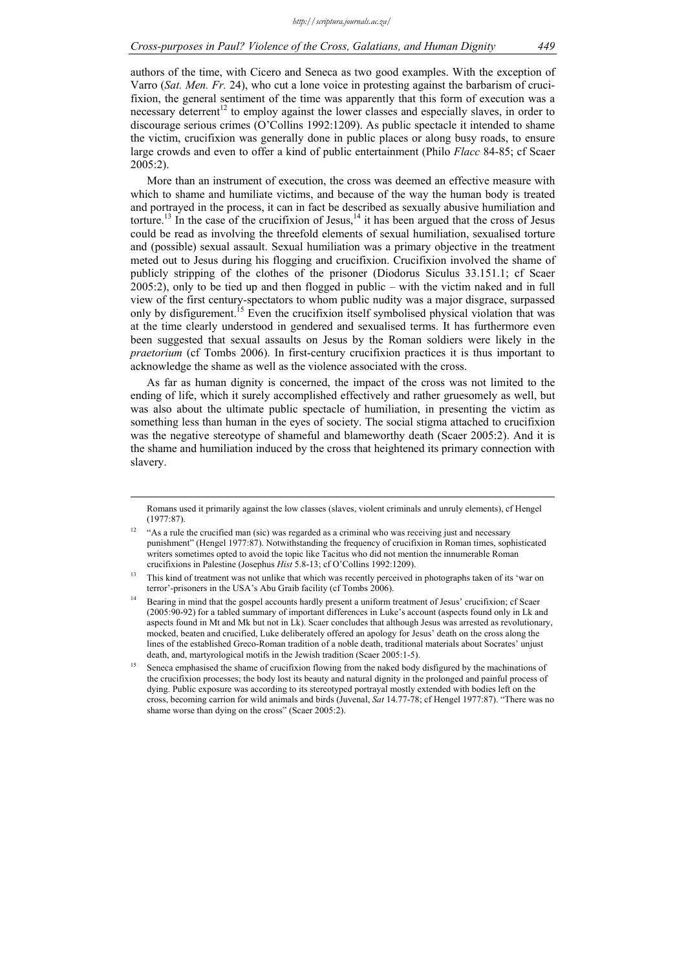authors of the time, with Cicero and Seneca as two good examples. With the exception of Varro (*Sat. Men. Fr.* 24), who cut a lone voice in protesting against the barbarism of crucifixion, the general sentiment of the time was apparently that this form of execution was a necessary deterrent<sup>12</sup> to employ against the lower classes and especially slaves, in order to discourage serious crimes (O'Collins 1992:1209). As public spectacle it intended to shame the victim, crucifixion was generally done in public places or along busy roads, to ensure large crowds and even to offer a kind of public entertainment (Philo *Flacc* 84-85; cf Scaer 2005:2).

More than an instrument of execution, the cross was deemed an effective measure with which to shame and humiliate victims, and because of the way the human body is treated and portrayed in the process, it can in fact be described as sexually abusive humiliation and torture.<sup>13</sup> In the case of the crucifixion of Jesus,<sup>14</sup> it has been argued that the cross of Jesus could be read as involving the threefold elements of sexual humiliation, sexualised torture and (possible) sexual assault. Sexual humiliation was a primary objective in the treatment meted out to Jesus during his flogging and crucifixion. Crucifixion involved the shame of publicly stripping of the clothes of the prisoner (Diodorus Siculus 33.151.1; cf Scaer 2005:2), only to be tied up and then flogged in public – with the victim naked and in full view of the first century-spectators to whom public nudity was a major disgrace, surpassed only by disfigurement.<sup>15</sup> Even the crucifixion itself symbolised physical violation that was at the time clearly understood in gendered and sexualised terms. It has furthermore even been suggested that sexual assaults on Jesus by the Roman soldiers were likely in the *praetorium* (cf Tombs 2006). In first-century crucifixion practices it is thus important to acknowledge the shame as well as the violence associated with the cross.

As far as human dignity is concerned, the impact of the cross was not limited to the ending of life, which it surely accomplished effectively and rather gruesomely as well, but was also about the ultimate public spectacle of humiliation, in presenting the victim as something less than human in the eyes of society. The social stigma attached to crucifixion was the negative stereotype of shameful and blameworthy death (Scaer 2005:2). And it is the shame and humiliation induced by the cross that heightened its primary connection with slavery.

Romans used it primarily against the low classes (slaves, violent criminals and unruly elements), cf Hengel (1977:87).

<sup>12 &</sup>quot;As a rule the crucified man (sic) was regarded as a criminal who was receiving just and necessary punishment" (Hengel 1977:87). Notwithstanding the frequency of crucifixion in Roman times, sophisticated writers sometimes opted to avoid the topic like Tacitus who did not mention the innumerable Roman crucifixions in Palestine (Josephus *Hist* 5.8-13; cf O'Collins 1992:1209).

<sup>13</sup> This kind of treatment was not unlike that which was recently perceived in photographs taken of its 'war on terror'-prisoners in the USA's Abu Graib facility (cf Tombs 2006).

<sup>14</sup> Bearing in mind that the gospel accounts hardly present a uniform treatment of Jesus' crucifixion; cf Scaer (2005:90-92) for a tabled summary of important differences in Luke's account (aspects found only in Lk and aspects found in Mt and Mk but not in Lk). Scaer concludes that although Jesus was arrested as revolutionary, mocked, beaten and crucified, Luke deliberately offered an apology for Jesus' death on the cross along the lines of the established Greco-Roman tradition of a noble death, traditional materials about Socrates' unjust death, and, martyrological motifs in the Jewish tradition (Scaer 2005:1-5).

<sup>15</sup> Seneca emphasised the shame of crucifixion flowing from the naked body disfigured by the machinations of the crucifixion processes; the body lost its beauty and natural dignity in the prolonged and painful process of dying. Public exposure was according to its stereotyped portrayal mostly extended with bodies left on the cross, becoming carrion for wild animals and birds (Juvenal, *Sat* 14.77-78; cf Hengel 1977:87). "There was no shame worse than dying on the cross" (Scaer 2005:2).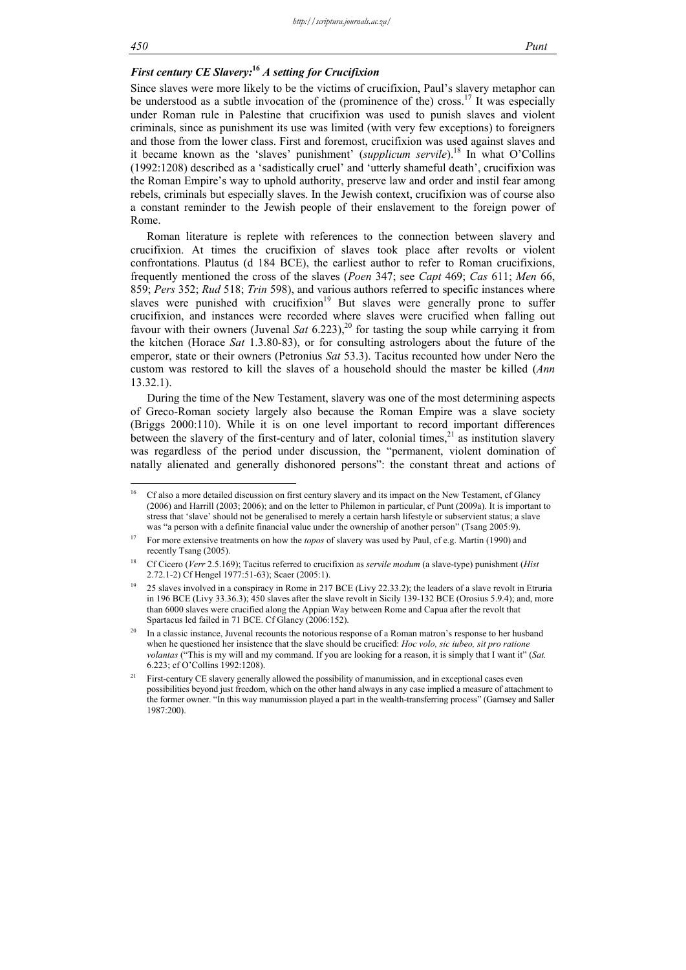## *First century CE Slavery:***<sup>16</sup>** *A setting for Crucifixion*

Since slaves were more likely to be the victims of crucifixion, Paul's slavery metaphor can be understood as a subtle invocation of the (prominence of the) cross.<sup>17</sup> It was especially under Roman rule in Palestine that crucifixion was used to punish slaves and violent criminals, since as punishment its use was limited (with very few exceptions) to foreigners and those from the lower class. First and foremost, crucifixion was used against slaves and it became known as the 'slaves' punishment' (*supplicum servile*).<sup>18</sup> In what O'Collins (1992:1208) described as a 'sadistically cruel' and 'utterly shameful death', crucifixion was the Roman Empire's way to uphold authority, preserve law and order and instil fear among rebels, criminals but especially slaves. In the Jewish context, crucifixion was of course also a constant reminder to the Jewish people of their enslavement to the foreign power of Rome.

Roman literature is replete with references to the connection between slavery and crucifixion. At times the crucifixion of slaves took place after revolts or violent confrontations. Plautus (d 184 BCE), the earliest author to refer to Roman crucifixions, frequently mentioned the cross of the slaves (*Poen* 347; see *Capt* 469; *Cas* 611; *Men* 66, 859; *Pers* 352; *Rud* 518; *Trin* 598), and various authors referred to specific instances where slaves were punished with crucifixion<sup>19</sup> But slaves were generally prone to suffer crucifixion, and instances were recorded where slaves were crucified when falling out favour with their owners (Juvenal *Sat* 6.223),<sup>20</sup> for tasting the soup while carrying it from the kitchen (Horace *Sat* 1.3.80-83), or for consulting astrologers about the future of the emperor, state or their owners (Petronius *Sat* 53.3). Tacitus recounted how under Nero the custom was restored to kill the slaves of a household should the master be killed (*Ann* 13.32.1).

During the time of the New Testament, slavery was one of the most determining aspects of Greco-Roman society largely also because the Roman Empire was a slave society (Briggs 2000:110). While it is on one level important to record important differences between the slavery of the first-century and of later, colonial times, $^{21}$  as institution slavery was regardless of the period under discussion, the "permanent, violent domination of natally alienated and generally dishonored persons": the constant threat and actions of

 $16$ 16 Cf also a more detailed discussion on first century slavery and its impact on the New Testament, cf Glancy (2006) and Harrill (2003; 2006); and on the letter to Philemon in particular, cf Punt (2009a). It is important to stress that 'slave' should not be generalised to merely a certain harsh lifestyle or subservient status; a slave was "a person with a definite financial value under the ownership of another person" (Tsang 2005:9).

<sup>&</sup>lt;sup>17</sup> For more extensive treatments on how the *topos* of slavery was used by Paul, cf e.g. Martin (1990) and recently Tsang (2005).

<sup>18</sup> Cf Cicero (*Verr* 2.5.169); Tacitus referred to crucifixion as *servile modum* (a slave-type) punishment (*Hist* 2.72.1-2) Cf Hengel 1977:51-63); Scaer (2005:1).

<sup>19 25</sup> slaves involved in a conspiracy in Rome in 217 BCE (Livy 22.33.2); the leaders of a slave revolt in Etruria in 196 BCE (Livy 33.36.3); 450 slaves after the slave revolt in Sicily 139-132 BCE (Orosius 5.9.4); and, more than 6000 slaves were crucified along the Appian Way between Rome and Capua after the revolt that Spartacus led failed in 71 BCE. Cf Glancy (2006:152).

<sup>20</sup> In a classic instance, Juvenal recounts the notorious response of a Roman matron's response to her husband when he questioned her insistence that the slave should be crucified: *Hoc volo, sic iubeo, sit pro ratione volantas* ("This is my will and my command. If you are looking for a reason, it is simply that I want it" (*Sat.*  6.223; cf O'Collins 1992:1208).

<sup>21</sup> First-century CE slavery generally allowed the possibility of manumission, and in exceptional cases even possibilities beyond just freedom, which on the other hand always in any case implied a measure of attachment to the former owner. "In this way manumission played a part in the wealth-transferring process" (Garnsey and Saller 1987:200).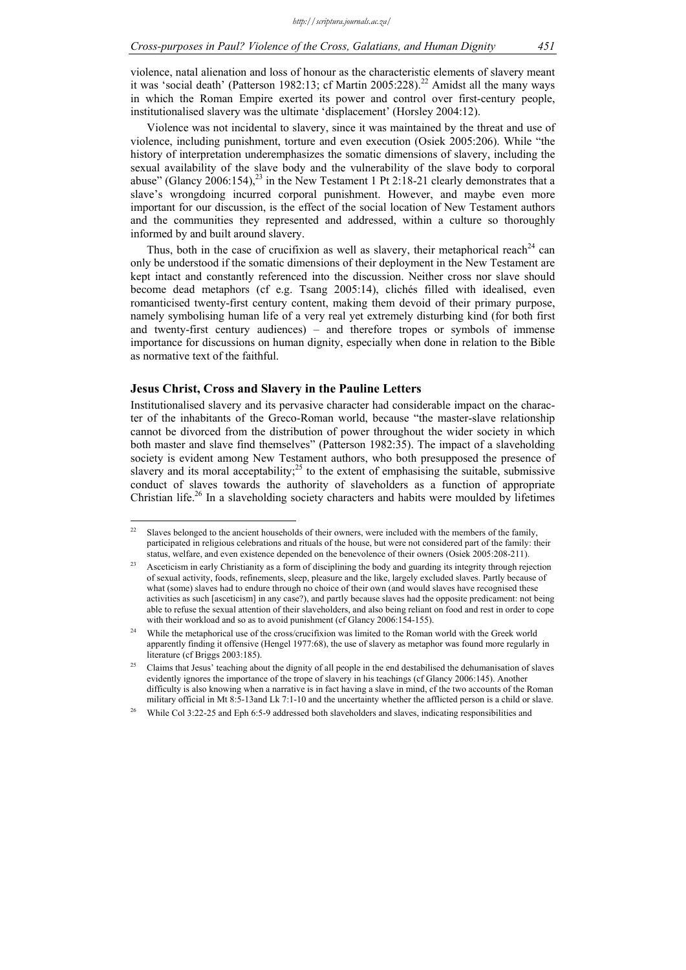violence, natal alienation and loss of honour as the characteristic elements of slavery meant it was 'social death' (Patterson 1982:13; cf Martin 2005:228).<sup>22</sup> Amidst all the many ways in which the Roman Empire exerted its power and control over first-century people, institutionalised slavery was the ultimate 'displacement' (Horsley 2004:12).

Violence was not incidental to slavery, since it was maintained by the threat and use of violence, including punishment, torture and even execution (Osiek 2005:206). While "the history of interpretation underemphasizes the somatic dimensions of slavery, including the sexual availability of the slave body and the vulnerability of the slave body to corporal abuse" (Glancy  $2006:154$ ),<sup>23</sup> in the New Testament 1 Pt 2:18-21 clearly demonstrates that a slave's wrongdoing incurred corporal punishment. However, and maybe even more important for our discussion, is the effect of the social location of New Testament authors and the communities they represented and addressed, within a culture so thoroughly informed by and built around slavery.

Thus, both in the case of crucifixion as well as slavery, their metaphorical reach<sup>24</sup> can only be understood if the somatic dimensions of their deployment in the New Testament are kept intact and constantly referenced into the discussion. Neither cross nor slave should become dead metaphors (cf e.g. Tsang 2005:14), clichés filled with idealised, even romanticised twenty-first century content, making them devoid of their primary purpose, namely symbolising human life of a very real yet extremely disturbing kind (for both first and twenty-first century audiences) – and therefore tropes or symbols of immense importance for discussions on human dignity, especially when done in relation to the Bible as normative text of the faithful.

#### **Jesus Christ, Cross and Slavery in the Pauline Letters**

Institutionalised slavery and its pervasive character had considerable impact on the character of the inhabitants of the Greco-Roman world, because "the master-slave relationship cannot be divorced from the distribution of power throughout the wider society in which both master and slave find themselves" (Patterson 1982:35). The impact of a slaveholding society is evident among New Testament authors, who both presupposed the presence of slavery and its moral acceptability;<sup>25</sup> to the extent of emphasising the suitable, submissive conduct of slaves towards the authority of slaveholders as a function of appropriate Christian life.26 In a slaveholding society characters and habits were moulded by lifetimes

 $22\,$ Slaves belonged to the ancient households of their owners, were included with the members of the family, participated in religious celebrations and rituals of the house, but were not considered part of the family: their status, welfare, and even existence depended on the benevolence of their owners (Osiek 2005:208-211).

<sup>&</sup>lt;sup>23</sup> Asceticism in early Christianity as a form of disciplining the body and guarding its integrity through rejection of sexual activity, foods, refinements, sleep, pleasure and the like, largely excluded slaves. Partly because of what (some) slaves had to endure through no choice of their own (and would slaves have recognised these activities as such [asceticism] in any case?), and partly because slaves had the opposite predicament: not being able to refuse the sexual attention of their slaveholders, and also being reliant on food and rest in order to cope with their workload and so as to avoid punishment (cf Glancy 2006:154-155).

<sup>24</sup> While the metaphorical use of the cross/crucifixion was limited to the Roman world with the Greek world apparently finding it offensive (Hengel 1977:68), the use of slavery as metaphor was found more regularly in literature (cf Briggs 2003:185).

<sup>25</sup> Claims that Jesus' teaching about the dignity of all people in the end destabilised the dehumanisation of slaves evidently ignores the importance of the trope of slavery in his teachings (cf Glancy 2006:145). Another difficulty is also knowing when a narrative is in fact having a slave in mind, cf the two accounts of the Roman military official in Mt 8:5-13and Lk 7:1-10 and the uncertainty whether the afflicted person is a child or slave.

<sup>26</sup> While Col 3:22-25 and Eph 6:5-9 addressed both slaveholders and slaves, indicating responsibilities and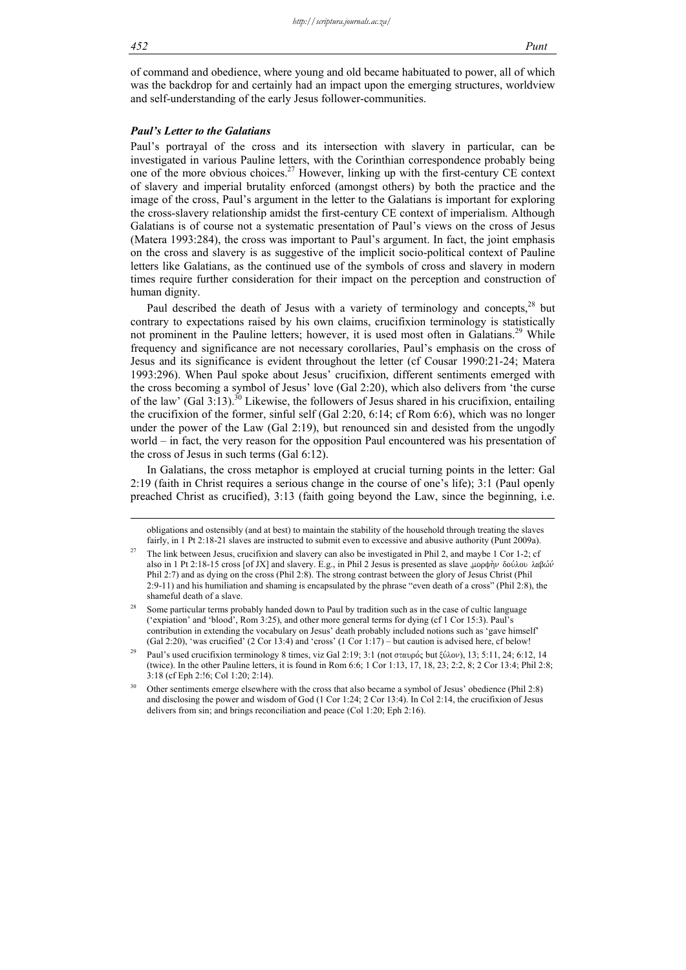of command and obedience, where young and old became habituated to power, all of which was the backdrop for and certainly had an impact upon the emerging structures, worldview and self-understanding of the early Jesus follower-communities.

#### *Paul's Letter to the Galatians*

Paul's portrayal of the cross and its intersection with slavery in particular, can be investigated in various Pauline letters, with the Corinthian correspondence probably being one of the more obvious choices.27 However, linking up with the first-century CE context of slavery and imperial brutality enforced (amongst others) by both the practice and the image of the cross, Paul's argument in the letter to the Galatians is important for exploring the cross-slavery relationship amidst the first-century CE context of imperialism. Although Galatians is of course not a systematic presentation of Paul's views on the cross of Jesus (Matera 1993:284), the cross was important to Paul's argument. In fact, the joint emphasis on the cross and slavery is as suggestive of the implicit socio-political context of Pauline letters like Galatians, as the continued use of the symbols of cross and slavery in modern times require further consideration for their impact on the perception and construction of human dignity.

Paul described the death of Jesus with a variety of terminology and concepts, $28$  but contrary to expectations raised by his own claims, crucifixion terminology is statistically not prominent in the Pauline letters; however, it is used most often in Galatians.<sup>29</sup> While frequency and significance are not necessary corollaries, Paul's emphasis on the cross of Jesus and its significance is evident throughout the letter (cf Cousar 1990:21-24; Matera 1993:296). When Paul spoke about Jesus' crucifixion, different sentiments emerged with the cross becoming a symbol of Jesus' love (Gal 2:20), which also delivers from 'the curse of the law' (Gal 3:13).<sup>30</sup> Likewise, the followers of Jesus shared in his crucifixion, entailing the crucifixion of the former, sinful self (Gal 2:20, 6:14; cf Rom 6:6), which was no longer under the power of the Law (Gal 2:19), but renounced sin and desisted from the ungodly world – in fact, the very reason for the opposition Paul encountered was his presentation of the cross of Jesus in such terms (Gal 6:12).

In Galatians, the cross metaphor is employed at crucial turning points in the letter: Gal 2:19 (faith in Christ requires a serious change in the course of one's life); 3:1 (Paul openly preached Christ as crucified), 3:13 (faith going beyond the Law, since the beginning, i.e.

obligations and ostensibly (and at best) to maintain the stability of the household through treating the slaves fairly, in 1 Pt 2:18-21 slaves are instructed to submit even to excessive and abusive authority (Punt 2009a).

<sup>&</sup>lt;sup>27</sup> The link between Jesus, crucifixion and slavery can also be investigated in Phil 2, and maybe 1 Cor 1-2; cf also in 1 Pt 2:18-15 cross [of JX] and slavery. E.g., in Phil 2 Jesus is presented as slave "μορφὴν δούλου λαβών Phil 2:7) and as dying on the cross (Phil 2:8). The strong contrast between the glory of Jesus Christ (Phil 2:9-11) and his humiliation and shaming is encapsulated by the phrase "even death of a cross" (Phil 2:8), the shameful death of a slave.

Some particular terms probably handed down to Paul by tradition such as in the case of cultic language ('expiation' and 'blood', Rom 3:25), and other more general terms for dying (cf 1 Cor 15:3). Paul's contribution in extending the vocabulary on Jesus' death probably included notions such as 'gave himself' (Gal 2:20), 'was crucified' (2 Cor 13:4) and 'cross' (1 Cor 1:17) – but caution is advised here, cf below!

Paul's used crucifixion terminology 8 times, viz Gal 2:19; 3:1 (not σταυρός but ξύλον), 13; 5:11, 24; 6:12, 14 (twice). In the other Pauline letters, it is found in Rom 6:6; 1 Cor 1:13, 17, 18, 23; 2:2, 8; 2 Cor 13:4; Phil 2:8; 3:18 (cf Eph 2:!6; Col 1:20; 2:14).

<sup>30</sup> Other sentiments emerge elsewhere with the cross that also became a symbol of Jesus' obedience (Phil 2:8) and disclosing the power and wisdom of God (1 Cor 1:24; 2 Cor 13:4). In Col 2:14, the crucifixion of Jesus delivers from sin; and brings reconciliation and peace (Col 1:20; Eph 2:16).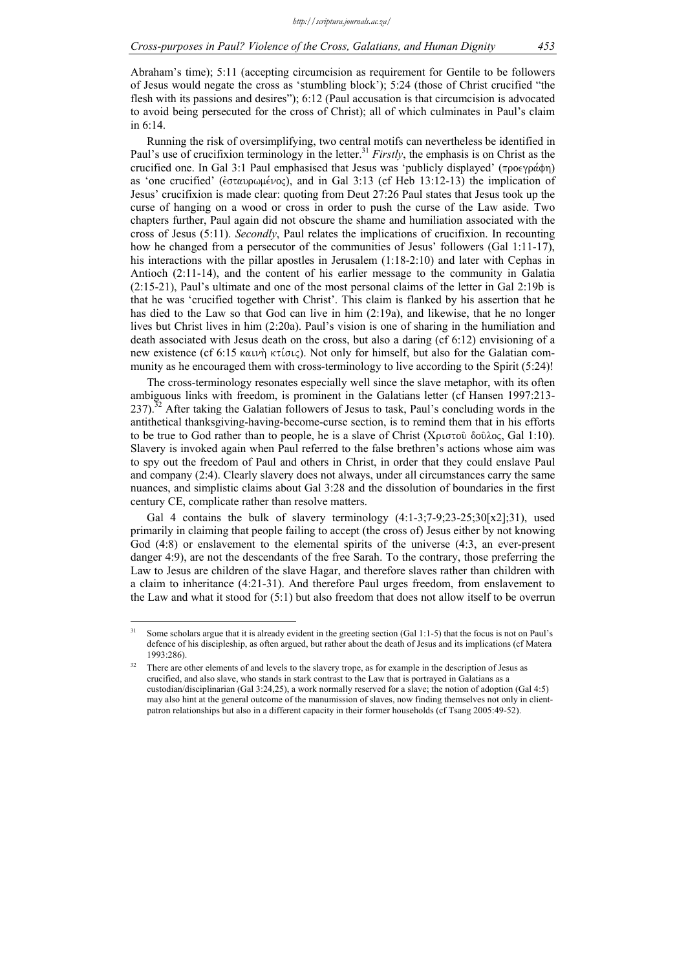Abraham's time); 5:11 (accepting circumcision as requirement for Gentile to be followers of Jesus would negate the cross as 'stumbling block'); 5:24 (those of Christ crucified "the flesh with its passions and desires"); 6:12 (Paul accusation is that circumcision is advocated to avoid being persecuted for the cross of Christ); all of which culminates in Paul's claim in 6:14.

Running the risk of oversimplifying, two central motifs can nevertheless be identified in Paul's use of crucifixion terminology in the letter.<sup>31</sup> *Firstly*, the emphasis is on Christ as the crucified one. In Gal 3:1 Paul emphasised that Jesus was 'publicly displayed' ( $\pi \rho \sigma \gamma \rho \dot{\alpha} \phi \eta$ ) as 'one crucified' ( $\epsilon \sigma \tau \alpha \nu \rho \omega \mu \epsilon \nu oc$ ), and in Gal 3:13 (cf Heb 13:12-13) the implication of Jesus' crucifixion is made clear: quoting from Deut 27:26 Paul states that Jesus took up the curse of hanging on a wood or cross in order to push the curse of the Law aside. Two chapters further, Paul again did not obscure the shame and humiliation associated with the cross of Jesus (5:11). *Secondly*, Paul relates the implications of crucifixion. In recounting how he changed from a persecutor of the communities of Jesus' followers (Gal 1:11-17), his interactions with the pillar apostles in Jerusalem  $(1:18-2:10)$  and later with Cephas in Antioch (2:11-14), and the content of his earlier message to the community in Galatia (2:15-21), Paul's ultimate and one of the most personal claims of the letter in Gal 2:19b is that he was 'crucified together with Christ'. This claim is flanked by his assertion that he has died to the Law so that God can live in him (2:19a), and likewise, that he no longer lives but Christ lives in him (2:20a). Paul's vision is one of sharing in the humiliation and death associated with Jesus death on the cross, but also a daring (cf 6:12) envisioning of a new existence (cf 6:15 ka $u\psi$ ) ktions). Not only for himself, but also for the Galatian community as he encouraged them with cross-terminology to live according to the Spirit (5:24)!

The cross-terminology resonates especially well since the slave metaphor, with its often ambiguous links with freedom, is prominent in the Galatians letter (cf Hansen 1997:213-  $237$ ).<sup>32</sup> After taking the Galatian followers of Jesus to task, Paul's concluding words in the antithetical thanksgiving-having-become-curse section, is to remind them that in his efforts to be true to God rather than to people, he is a slave of Christ ( $X$  $\mu$  $\sigma$  $\tau$  $\delta$  $\delta$  $\delta$  $\delta \lambda$  $\sigma$ , Gal 1:10). Slavery is invoked again when Paul referred to the false brethren's actions whose aim was to spy out the freedom of Paul and others in Christ, in order that they could enslave Paul and company (2:4). Clearly slavery does not always, under all circumstances carry the same nuances, and simplistic claims about Gal 3:28 and the dissolution of boundaries in the first century CE, complicate rather than resolve matters.

Gal 4 contains the bulk of slavery terminology  $(4:1-3;7-9;23-25;30[x2];31)$ , used primarily in claiming that people failing to accept (the cross of) Jesus either by not knowing God (4:8) or enslavement to the elemental spirits of the universe (4:3, an ever-present danger 4:9), are not the descendants of the free Sarah. To the contrary, those preferring the Law to Jesus are children of the slave Hagar, and therefore slaves rather than children with a claim to inheritance (4:21-31). And therefore Paul urges freedom, from enslavement to the Law and what it stood for (5:1) but also freedom that does not allow itself to be overrun

 $31$ Some scholars argue that it is already evident in the greeting section (Gal 1:1-5) that the focus is not on Paul's defence of his discipleship, as often argued, but rather about the death of Jesus and its implications (cf Matera 1993:286).

There are other elements of and levels to the slavery trope, as for example in the description of Jesus as crucified, and also slave, who stands in stark contrast to the Law that is portrayed in Galatians as a custodian/disciplinarian (Gal 3:24,25), a work normally reserved for a slave; the notion of adoption (Gal 4:5) may also hint at the general outcome of the manumission of slaves, now finding themselves not only in clientpatron relationships but also in a different capacity in their former households (cf Tsang 2005:49-52).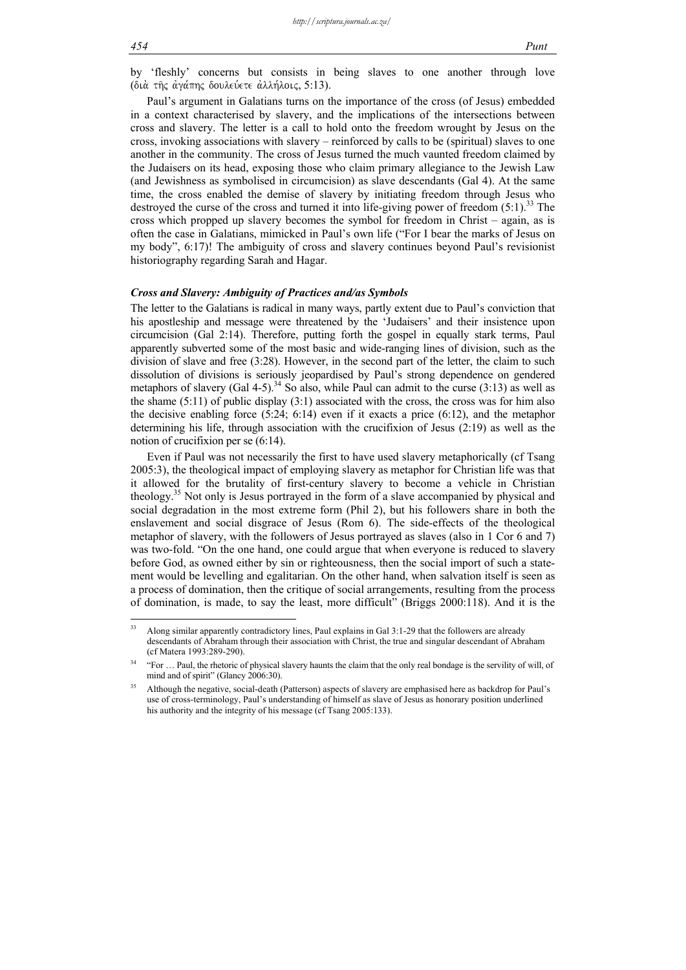by 'fleshly' concerns but consists in being slaves to one another through love (διά της άγάπης δουλεύετε άλλήλοις, 5:13).

Paul's argument in Galatians turns on the importance of the cross (of Jesus) embedded in a context characterised by slavery, and the implications of the intersections between cross and slavery. The letter is a call to hold onto the freedom wrought by Jesus on the cross, invoking associations with slavery – reinforced by calls to be (spiritual) slaves to one another in the community. The cross of Jesus turned the much vaunted freedom claimed by the Judaisers on its head, exposing those who claim primary allegiance to the Jewish Law (and Jewishness as symbolised in circumcision) as slave descendants (Gal 4). At the same time, the cross enabled the demise of slavery by initiating freedom through Jesus who destroyed the curse of the cross and turned it into life-giving power of freedom  $(5:1)$ .<sup>33</sup> The cross which propped up slavery becomes the symbol for freedom in Christ – again, as is often the case in Galatians, mimicked in Paul's own life ("For I bear the marks of Jesus on my body", 6:17)! The ambiguity of cross and slavery continues beyond Paul's revisionist historiography regarding Sarah and Hagar.

#### *Cross and Slavery: Ambiguity of Practices and/as Symbols*

The letter to the Galatians is radical in many ways, partly extent due to Paul's conviction that his apostleship and message were threatened by the 'Judaisers' and their insistence upon circumcision (Gal 2:14). Therefore, putting forth the gospel in equally stark terms, Paul apparently subverted some of the most basic and wide-ranging lines of division, such as the division of slave and free (3:28). However, in the second part of the letter, the claim to such dissolution of divisions is seriously jeopardised by Paul's strong dependence on gendered metaphors of slavery (Gal 4-5).<sup>34</sup> So also, while Paul can admit to the curse (3:13) as well as the shame  $(5:11)$  of public display  $(3:1)$  associated with the cross, the cross was for him also the decisive enabling force  $(5.24; 6.14)$  even if it exacts a price  $(6.12)$ , and the metaphor determining his life, through association with the crucifixion of Jesus (2:19) as well as the notion of crucifixion per se (6:14).

Even if Paul was not necessarily the first to have used slavery metaphorically (cf Tsang 2005:3), the theological impact of employing slavery as metaphor for Christian life was that it allowed for the brutality of first-century slavery to become a vehicle in Christian theology.35 Not only is Jesus portrayed in the form of a slave accompanied by physical and social degradation in the most extreme form (Phil 2), but his followers share in both the enslavement and social disgrace of Jesus (Rom 6). The side-effects of the theological metaphor of slavery, with the followers of Jesus portrayed as slaves (also in 1 Cor 6 and 7) was two-fold. "On the one hand, one could argue that when everyone is reduced to slavery before God, as owned either by sin or righteousness, then the social import of such a statement would be levelling and egalitarian. On the other hand, when salvation itself is seen as a process of domination, then the critique of social arrangements, resulting from the process of domination, is made, to say the least, more difficult" (Briggs 2000:118). And it is the

 $33$ 33 Along similar apparently contradictory lines, Paul explains in Gal 3:1-29 that the followers are already descendants of Abraham through their association with Christ, the true and singular descendant of Abraham (cf Matera 1993:289-290).

<sup>&</sup>lt;sup>34</sup> "For ... Paul, the rhetoric of physical slavery haunts the claim that the only real bondage is the servility of will, of mind and of spirit" (Glancy 2006:30).

<sup>&</sup>lt;sup>35</sup> Although the negative, social-death (Patterson) aspects of slavery are emphasised here as backdrop for Paul's use of cross-terminology, Paul's understanding of himself as slave of Jesus as honorary position underlined his authority and the integrity of his message (cf Tsang 2005:133).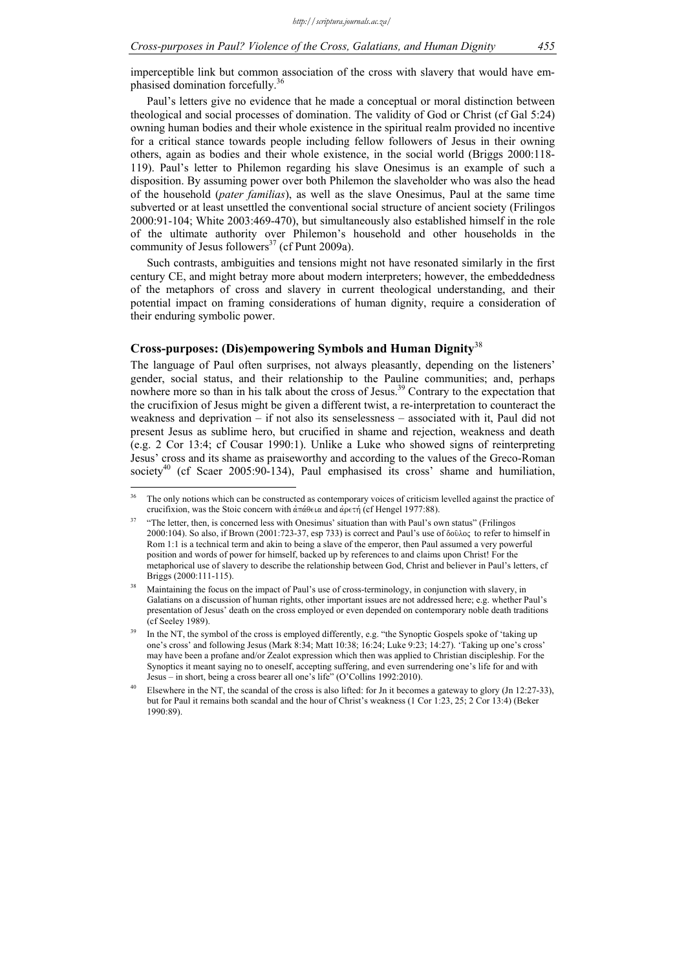imperceptible link but common association of the cross with slavery that would have emphasised domination forcefully.<sup>36</sup>

Paul's letters give no evidence that he made a conceptual or moral distinction between theological and social processes of domination. The validity of God or Christ (cf Gal 5:24) owning human bodies and their whole existence in the spiritual realm provided no incentive for a critical stance towards people including fellow followers of Jesus in their owning others, again as bodies and their whole existence, in the social world (Briggs 2000:118- 119). Paul's letter to Philemon regarding his slave Onesimus is an example of such a disposition. By assuming power over both Philemon the slaveholder who was also the head of the household (*pater familias*), as well as the slave Onesimus, Paul at the same time subverted or at least unsettled the conventional social structure of ancient society (Frilingos 2000:91-104; White 2003:469-470), but simultaneously also established himself in the role of the ultimate authority over Philemon's household and other households in the community of Jesus followers<sup>37</sup> (cf Punt 2009a).

Such contrasts, ambiguities and tensions might not have resonated similarly in the first century CE, and might betray more about modern interpreters; however, the embeddedness of the metaphors of cross and slavery in current theological understanding, and their potential impact on framing considerations of human dignity, require a consideration of their enduring symbolic power.

### **Cross-purposes: (Dis)empowering Symbols and Human Dignity**<sup>38</sup>

The language of Paul often surprises, not always pleasantly, depending on the listeners' gender, social status, and their relationship to the Pauline communities; and, perhaps nowhere more so than in his talk about the cross of Jesus.<sup>39</sup> Contrary to the expectation that the crucifixion of Jesus might be given a different twist, a re-interpretation to counteract the weakness and deprivation – if not also its senselessness – associated with it, Paul did not present Jesus as sublime hero, but crucified in shame and rejection, weakness and death (e.g. 2 Cor 13:4; cf Cousar 1990:1). Unlike a Luke who showed signs of reinterpreting Jesus' cross and its shame as praiseworthy and according to the values of the Greco-Roman society<sup>40</sup> (cf Scaer 2005:90-134), Paul emphasised its cross' shame and humiliation,

<sup>36</sup> 36 The only notions which can be constructed as contemporary voices of criticism levelled against the practice of crucifixion, was the Stoic concern with  $\alpha\pi\alpha\theta\epsilon\alpha$  and  $\alpha\rho\epsilon\tau\eta$  (cf Hengel 1977:88).

<sup>&</sup>lt;sup>37</sup> "The letter, then, is concerned less with Onesimus' situation than with Paul's own status" (Frilingos 2000:104). So also, if Brown (2001:723-37, esp 733) is correct and Paul's use of  $\delta$ oû $\lambda$ oc to refer to himself in Rom 1:1 is a technical term and akin to being a slave of the emperor, then Paul assumed a very powerful position and words of power for himself, backed up by references to and claims upon Christ! For the metaphorical use of slavery to describe the relationship between God, Christ and believer in Paul's letters, cf Briggs (2000:111-115).

Maintaining the focus on the impact of Paul's use of cross-terminology, in conjunction with slavery, in Galatians on a discussion of human rights, other important issues are not addressed here; e.g. whether Paul's presentation of Jesus' death on the cross employed or even depended on contemporary noble death traditions (cf Seeley 1989).

In the NT, the symbol of the cross is employed differently, e.g. "the Synoptic Gospels spoke of 'taking up one's cross' and following Jesus (Mark 8:34; Matt 10:38; 16:24; Luke 9:23; 14:27). 'Taking up one's cross' may have been a profane and/or Zealot expression which then was applied to Christian discipleship. For the Synoptics it meant saying no to oneself, accepting suffering, and even surrendering one's life for and with Jesus – in short, being a cross bearer all one's life" (O'Collins 1992:2010).

Elsewhere in the NT, the scandal of the cross is also lifted: for Jn it becomes a gateway to glory (Jn 12:27-33), but for Paul it remains both scandal and the hour of Christ's weakness (1 Cor 1:23, 25; 2 Cor 13:4) (Beker 1990:89).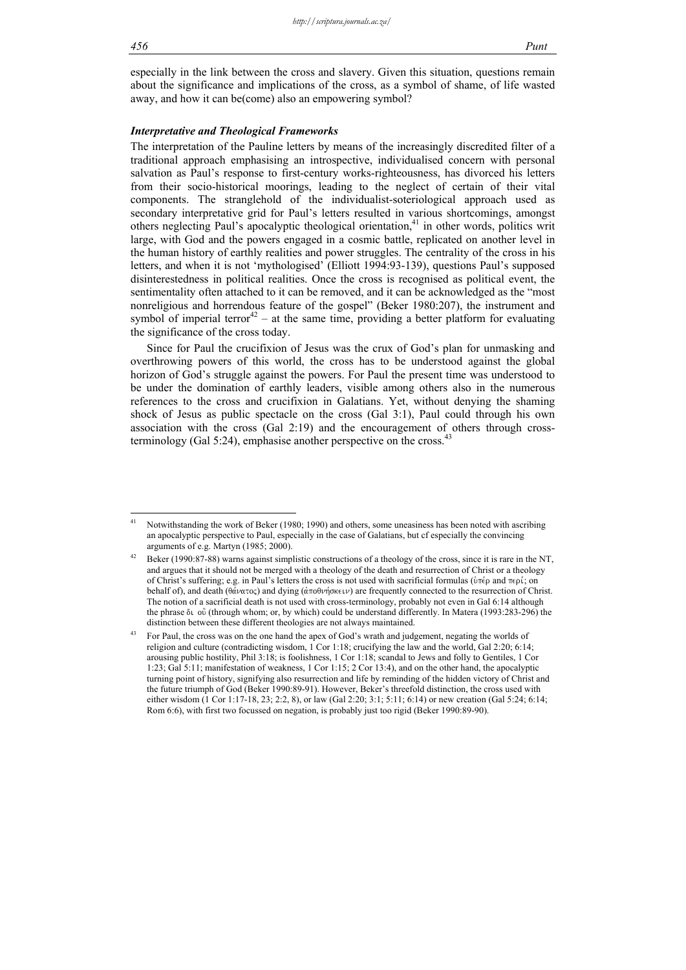especially in the link between the cross and slavery. Given this situation, questions remain about the significance and implications of the cross, as a symbol of shame, of life wasted away, and how it can be(come) also an empowering symbol?

### *Interpretative and Theological Frameworks*

The interpretation of the Pauline letters by means of the increasingly discredited filter of a traditional approach emphasising an introspective, individualised concern with personal salvation as Paul's response to first-century works-righteousness, has divorced his letters from their socio-historical moorings, leading to the neglect of certain of their vital components. The stranglehold of the individualist-soteriological approach used as secondary interpretative grid for Paul's letters resulted in various shortcomings, amongst others neglecting Paul's apocalyptic theological orientation,<sup>41</sup> in other words, politics writ large, with God and the powers engaged in a cosmic battle, replicated on another level in the human history of earthly realities and power struggles. The centrality of the cross in his letters, and when it is not 'mythologised' (Elliott 1994:93-139), questions Paul's supposed disinterestedness in political realities. Once the cross is recognised as political event, the sentimentality often attached to it can be removed, and it can be acknowledged as the "most nonreligious and horrendous feature of the gospel" (Beker 1980:207), the instrument and symbol of imperial terror<sup>42</sup> – at the same time, providing a better platform for evaluating the significance of the cross today.

Since for Paul the crucifixion of Jesus was the crux of God's plan for unmasking and overthrowing powers of this world, the cross has to be understood against the global horizon of God's struggle against the powers. For Paul the present time was understood to be under the domination of earthly leaders, visible among others also in the numerous references to the cross and crucifixion in Galatians. Yet, without denying the shaming shock of Jesus as public spectacle on the cross (Gal 3:1), Paul could through his own association with the cross (Gal 2:19) and the encouragement of others through crossterminology (Gal 5:24), emphasise another perspective on the cross.<sup>43</sup>

 $\overline{41}$ Notwithstanding the work of Beker (1980; 1990) and others, some uneasiness has been noted with ascribing an apocalyptic perspective to Paul, especially in the case of Galatians, but cf especially the convincing arguments of e.g. Martyn (1985; 2000).

Beker (1990:87-88) warns against simplistic constructions of a theology of the cross, since it is rare in the NT, and argues that it should not be merged with a theology of the death and resurrection of Christ or a theology of Christ's suffering; e.g. in Paul's letters the cross is not used with sacrificial formulas ( $\dot{v}$ ) and  $\pi \epsilon \rho i$ ; on behalf of), and death ( $\theta \acute{\alpha} \nu \alpha \tau$ oc) and dying ( $\dot{\alpha} \pi$ οθνήσκειν) are frequently connected to the resurrection of Christ. The notion of a sacrificial death is not used with cross-terminology, probably not even in Gal 6:14 although the phrase  $\delta\iota$  ov $\delta$  (through whom; or, by which) could be understand differently. In Matera (1993:283-296) the distinction between these different theologies are not always maintained.

<sup>&</sup>lt;sup>43</sup> For Paul, the cross was on the one hand the apex of God's wrath and judgement, negating the worlds of religion and culture (contradicting wisdom, 1 Cor 1:18; crucifying the law and the world, Gal 2:20; 6:14; arousing public hostility, Phil 3:18; is foolishness, 1 Cor 1:18; scandal to Jews and folly to Gentiles, 1 Cor 1:23; Gal 5:11; manifestation of weakness, 1 Cor 1:15; 2 Cor 13:4), and on the other hand, the apocalyptic turning point of history, signifying also resurrection and life by reminding of the hidden victory of Christ and the future triumph of God (Beker 1990:89-91). However, Beker's threefold distinction, the cross used with either wisdom (1 Cor 1:17-18, 23; 2:2, 8), or law (Gal 2:20; 3:1; 5:11; 6:14) or new creation (Gal 5:24; 6:14; Rom 6:6), with first two focussed on negation, is probably just too rigid (Beker 1990:89-90).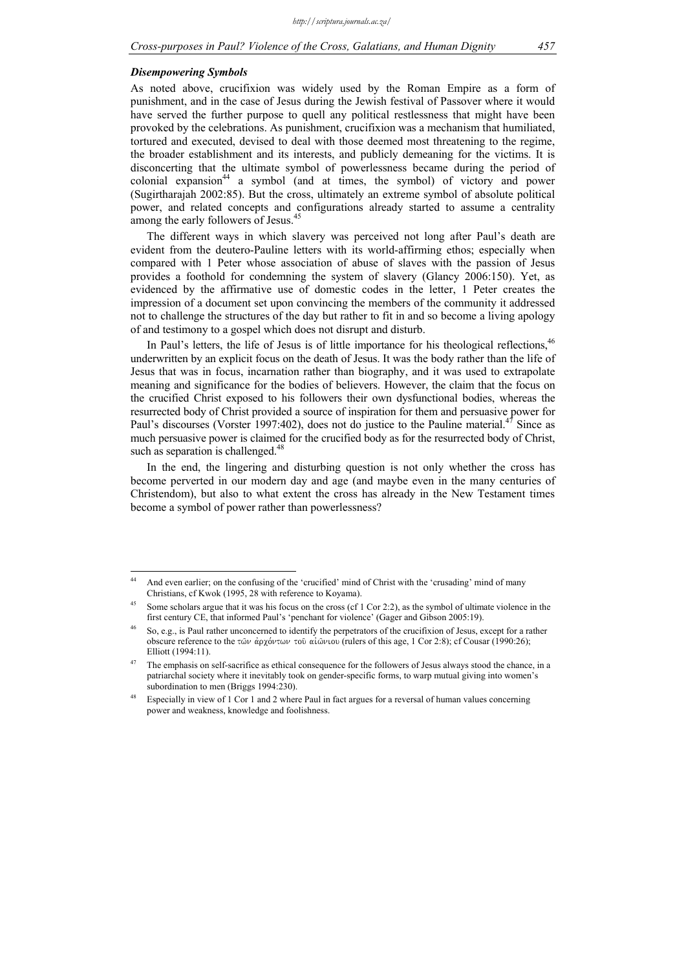#### *Disempowering Symbols*

<u>.</u>

As noted above, crucifixion was widely used by the Roman Empire as a form of punishment, and in the case of Jesus during the Jewish festival of Passover where it would have served the further purpose to quell any political restlessness that might have been provoked by the celebrations. As punishment, crucifixion was a mechanism that humiliated, tortured and executed, devised to deal with those deemed most threatening to the regime, the broader establishment and its interests, and publicly demeaning for the victims. It is disconcerting that the ultimate symbol of powerlessness became during the period of colonial expansion<sup>44</sup> a symbol (and at times, the symbol) of victory and power (Sugirtharajah 2002:85). But the cross, ultimately an extreme symbol of absolute political power, and related concepts and configurations already started to assume a centrality among the early followers of Jesus.<sup>45</sup>

The different ways in which slavery was perceived not long after Paul's death are evident from the deutero-Pauline letters with its world-affirming ethos; especially when compared with 1 Peter whose association of abuse of slaves with the passion of Jesus provides a foothold for condemning the system of slavery (Glancy 2006:150). Yet, as evidenced by the affirmative use of domestic codes in the letter, 1 Peter creates the impression of a document set upon convincing the members of the community it addressed not to challenge the structures of the day but rather to fit in and so become a living apology of and testimony to a gospel which does not disrupt and disturb.

In Paul's letters, the life of Jesus is of little importance for his theological reflections,  $46$ underwritten by an explicit focus on the death of Jesus. It was the body rather than the life of Jesus that was in focus, incarnation rather than biography, and it was used to extrapolate meaning and significance for the bodies of believers. However, the claim that the focus on the crucified Christ exposed to his followers their own dysfunctional bodies, whereas the resurrected body of Christ provided a source of inspiration for them and persuasive power for Paul's discourses (Vorster 1997:402), does not do justice to the Pauline material.<sup>47</sup> Since as much persuasive power is claimed for the crucified body as for the resurrected body of Christ, such as separation is challenged.<sup>48</sup>

In the end, the lingering and disturbing question is not only whether the cross has become perverted in our modern day and age (and maybe even in the many centuries of Christendom), but also to what extent the cross has already in the New Testament times become a symbol of power rather than powerlessness?

<sup>&</sup>lt;sup>44</sup> And even earlier; on the confusing of the 'crucified' mind of Christ with the 'crusading' mind of many Christians, cf Kwok (1995, 28 with reference to Koyama).

Some scholars argue that it was his focus on the cross (cf 1 Cor 2:2), as the symbol of ultimate violence in the first century CE, that informed Paul's 'penchant for violence' (Gager and Gibson 2005:19).

<sup>46</sup> So, e.g., is Paul rather unconcerned to identify the perpetrators of the crucifixion of Jesus, except for a rather obscure reference to the των άρχόντων του αιώνιου (rulers of this age, 1 Cor 2:8); cf Cousar (1990:26); Elliott (1994:11).

The emphasis on self-sacrifice as ethical consequence for the followers of Jesus always stood the chance, in a patriarchal society where it inevitably took on gender-specific forms, to warp mutual giving into women's subordination to men (Briggs 1994:230).

Especially in view of 1 Cor 1 and 2 where Paul in fact argues for a reversal of human values concerning power and weakness, knowledge and foolishness.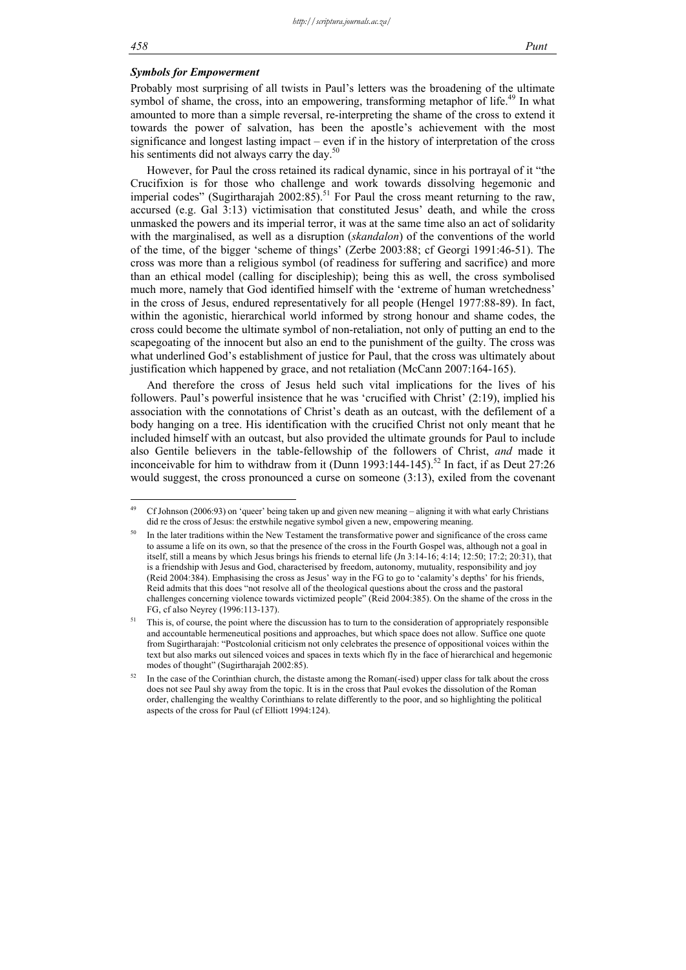1

### *Symbols for Empowerment*

Probably most surprising of all twists in Paul's letters was the broadening of the ultimate symbol of shame, the cross, into an empowering, transforming metaphor of life.<sup>49</sup> In what amounted to more than a simple reversal, re-interpreting the shame of the cross to extend it towards the power of salvation, has been the apostle's achievement with the most significance and longest lasting impact – even if in the history of interpretation of the cross his sentiments did not always carry the day.<sup>50</sup>

However, for Paul the cross retained its radical dynamic, since in his portrayal of it "the Crucifixion is for those who challenge and work towards dissolving hegemonic and imperial codes" (Sugirtharajah 2002:85).<sup>51</sup> For Paul the cross meant returning to the raw, accursed (e.g. Gal 3:13) victimisation that constituted Jesus' death, and while the cross unmasked the powers and its imperial terror, it was at the same time also an act of solidarity with the marginalised, as well as a disruption (*skandalon*) of the conventions of the world of the time, of the bigger 'scheme of things' (Zerbe 2003:88; cf Georgi 1991:46-51). The cross was more than a religious symbol (of readiness for suffering and sacrifice) and more than an ethical model (calling for discipleship); being this as well, the cross symbolised much more, namely that God identified himself with the 'extreme of human wretchedness' in the cross of Jesus, endured representatively for all people (Hengel 1977:88-89). In fact, within the agonistic, hierarchical world informed by strong honour and shame codes, the cross could become the ultimate symbol of non-retaliation, not only of putting an end to the scapegoating of the innocent but also an end to the punishment of the guilty. The cross was what underlined God's establishment of justice for Paul, that the cross was ultimately about justification which happened by grace, and not retaliation (McCann 2007:164-165).

And therefore the cross of Jesus held such vital implications for the lives of his followers. Paul's powerful insistence that he was 'crucified with Christ' (2:19), implied his association with the connotations of Christ's death as an outcast, with the defilement of a body hanging on a tree. His identification with the crucified Christ not only meant that he included himself with an outcast, but also provided the ultimate grounds for Paul to include also Gentile believers in the table-fellowship of the followers of Christ, *and* made it inconceivable for him to withdraw from it (Dunn 1993:144-145).<sup>52</sup> In fact, if as Deut 27:26 would suggest, the cross pronounced a curse on someone (3:13), exiled from the covenant

<sup>49</sup> Cf Johnson (2006:93) on 'queer' being taken up and given new meaning – aligning it with what early Christians did re the cross of Jesus: the erstwhile negative symbol given a new, empowering meaning.

In the later traditions within the New Testament the transformative power and significance of the cross came to assume a life on its own, so that the presence of the cross in the Fourth Gospel was, although not a goal in itself, still a means by which Jesus brings his friends to eternal life (Jn 3:14-16; 4:14; 12:50; 17:2; 20:31), that is a friendship with Jesus and God, characterised by freedom, autonomy, mutuality, responsibility and joy (Reid 2004:384). Emphasising the cross as Jesus' way in the FG to go to 'calamity's depths' for his friends, Reid admits that this does "not resolve all of the theological questions about the cross and the pastoral challenges concerning violence towards victimized people" (Reid 2004:385). On the shame of the cross in the FG, cf also Neyrey (1996:113-137).

<sup>&</sup>lt;sup>51</sup> This is, of course, the point where the discussion has to turn to the consideration of appropriately responsible and accountable hermeneutical positions and approaches, but which space does not allow. Suffice one quote from Sugirtharajah: "Postcolonial criticism not only celebrates the presence of oppositional voices within the text but also marks out silenced voices and spaces in texts which fly in the face of hierarchical and hegemonic modes of thought" (Sugirtharajah 2002:85).

In the case of the Corinthian church, the distaste among the Roman(-ised) upper class for talk about the cross does not see Paul shy away from the topic. It is in the cross that Paul evokes the dissolution of the Roman order, challenging the wealthy Corinthians to relate differently to the poor, and so highlighting the political aspects of the cross for Paul (cf Elliott 1994:124).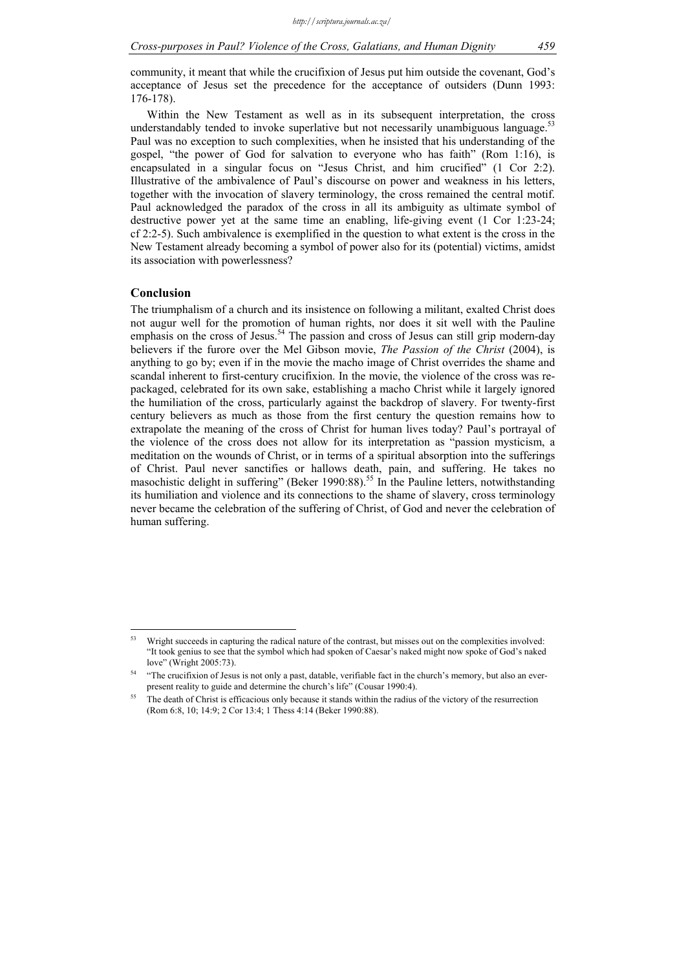community, it meant that while the crucifixion of Jesus put him outside the covenant, God's acceptance of Jesus set the precedence for the acceptance of outsiders (Dunn 1993: 176-178).

Within the New Testament as well as in its subsequent interpretation, the cross understandably tended to invoke superlative but not necessarily unambiguous language.<sup>53</sup> Paul was no exception to such complexities, when he insisted that his understanding of the gospel, "the power of God for salvation to everyone who has faith" (Rom 1:16), is encapsulated in a singular focus on "Jesus Christ, and him crucified" (1 Cor 2:2). Illustrative of the ambivalence of Paul's discourse on power and weakness in his letters, together with the invocation of slavery terminology, the cross remained the central motif. Paul acknowledged the paradox of the cross in all its ambiguity as ultimate symbol of destructive power yet at the same time an enabling, life-giving event (1 Cor 1:23-24; cf 2:2-5). Such ambivalence is exemplified in the question to what extent is the cross in the New Testament already becoming a symbol of power also for its (potential) victims, amidst its association with powerlessness?

#### **Conclusion**

The triumphalism of a church and its insistence on following a militant, exalted Christ does not augur well for the promotion of human rights, nor does it sit well with the Pauline emphasis on the cross of Jesus.<sup>54</sup> The passion and cross of Jesus can still grip modern-day believers if the furore over the Mel Gibson movie, *The Passion of the Christ* (2004), is anything to go by; even if in the movie the macho image of Christ overrides the shame and scandal inherent to first-century crucifixion. In the movie, the violence of the cross was repackaged, celebrated for its own sake, establishing a macho Christ while it largely ignored the humiliation of the cross, particularly against the backdrop of slavery. For twenty-first century believers as much as those from the first century the question remains how to extrapolate the meaning of the cross of Christ for human lives today? Paul's portrayal of the violence of the cross does not allow for its interpretation as "passion mysticism, a meditation on the wounds of Christ, or in terms of a spiritual absorption into the sufferings of Christ. Paul never sanctifies or hallows death, pain, and suffering. He takes no masochistic delight in suffering" (Beker 1990:88).<sup>55</sup> In the Pauline letters, notwithstanding its humiliation and violence and its connections to the shame of slavery, cross terminology never became the celebration of the suffering of Christ, of God and never the celebration of human suffering.

 $53$ 53 Wright succeeds in capturing the radical nature of the contrast, but misses out on the complexities involved: "It took genius to see that the symbol which had spoken of Caesar's naked might now spoke of God's naked love" (Wright 2005:73).

<sup>54 &</sup>quot;The crucifixion of Jesus is not only a past, datable, verifiable fact in the church's memory, but also an everpresent reality to guide and determine the church's life" (Cousar 1990:4).

<sup>&</sup>lt;sup>55</sup> The death of Christ is efficacious only because it stands within the radius of the victory of the resurrection (Rom 6:8, 10; 14:9; 2 Cor 13:4; 1 Thess 4:14 (Beker 1990:88).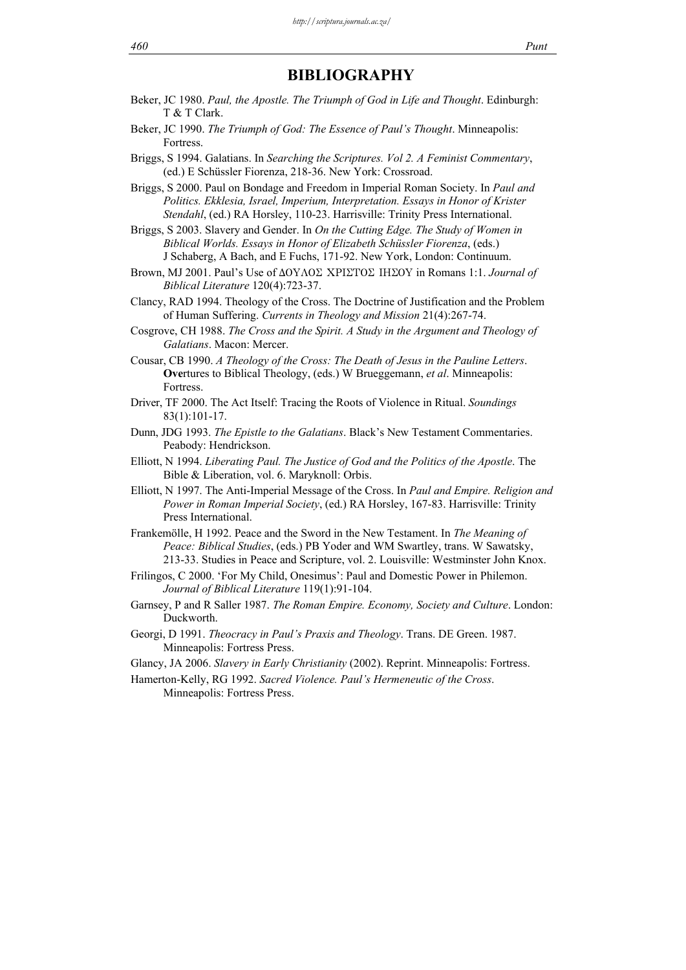## **BIBLIOGRAPHY**

- Beker, JC 1980. *Paul, the Apostle. The Triumph of God in Life and Thought*. Edinburgh: T & T Clark.
- Beker, JC 1990. *The Triumph of God: The Essence of Paul's Thought*. Minneapolis: Fortress.
- Briggs, S 1994. Galatians. In *Searching the Scriptures. Vol 2. A Feminist Commentary*, (ed.) E Schüssler Fiorenza, 218-36. New York: Crossroad.
- Briggs, S 2000. Paul on Bondage and Freedom in Imperial Roman Society. In *Paul and Politics. Ekklesia, Israel, Imperium, Interpretation. Essays in Honor of Krister Stendahl*, (ed.) RA Horsley, 110-23. Harrisville: Trinity Press International.
- Briggs, S 2003. Slavery and Gender. In *On the Cutting Edge. The Study of Women in Biblical Worlds. Essays in Honor of Elizabeth Schüssler Fiorenza*, (eds.) J Schaberg, A Bach, and E Fuchs, 171-92. New York, London: Continuum.
- Brown, MJ 2001. Paul's Use of  $\Delta OY\Lambda O\Sigma$  XPI $\Sigma TO\Sigma$  IH $\Sigma OY$  in Romans 1:1. *Journal of Biblical Literature* 120(4):723-37.
- Clancy, RAD 1994. Theology of the Cross. The Doctrine of Justification and the Problem of Human Suffering. *Currents in Theology and Mission* 21(4):267-74.
- Cosgrove, CH 1988. *The Cross and the Spirit. A Study in the Argument and Theology of Galatians*. Macon: Mercer.
- Cousar, CB 1990. *A Theology of the Cross: The Death of Jesus in the Pauline Letters*. **Ove**rtures to Biblical Theology, (eds.) W Brueggemann, *et al*. Minneapolis: **Fortress**
- Driver, TF 2000. The Act Itself: Tracing the Roots of Violence in Ritual. *Soundings* 83(1):101-17.
- Dunn, JDG 1993. *The Epistle to the Galatians*. Black's New Testament Commentaries. Peabody: Hendrickson.
- Elliott, N 1994. *Liberating Paul. The Justice of God and the Politics of the Apostle*. The Bible & Liberation, vol. 6. Maryknoll: Orbis.
- Elliott, N 1997. The Anti-Imperial Message of the Cross. In *Paul and Empire. Religion and Power in Roman Imperial Society*, (ed.) RA Horsley, 167-83. Harrisville: Trinity Press International.
- Frankemölle, H 1992. Peace and the Sword in the New Testament. In *The Meaning of Peace: Biblical Studies*, (eds.) PB Yoder and WM Swartley, trans. W Sawatsky, 213-33. Studies in Peace and Scripture, vol. 2. Louisville: Westminster John Knox.
- Frilingos, C 2000. 'For My Child, Onesimus': Paul and Domestic Power in Philemon. *Journal of Biblical Literature* 119(1):91-104.
- Garnsey, P and R Saller 1987. *The Roman Empire. Economy, Society and Culture*. London: Duckworth.
- Georgi, D 1991. *Theocracy in Paul's Praxis and Theology*. Trans. DE Green. 1987. Minneapolis: Fortress Press.
- Glancy, JA 2006. *Slavery in Early Christianity* (2002). Reprint. Minneapolis: Fortress.

Hamerton-Kelly, RG 1992. *Sacred Violence. Paul's Hermeneutic of the Cross*. Minneapolis: Fortress Press.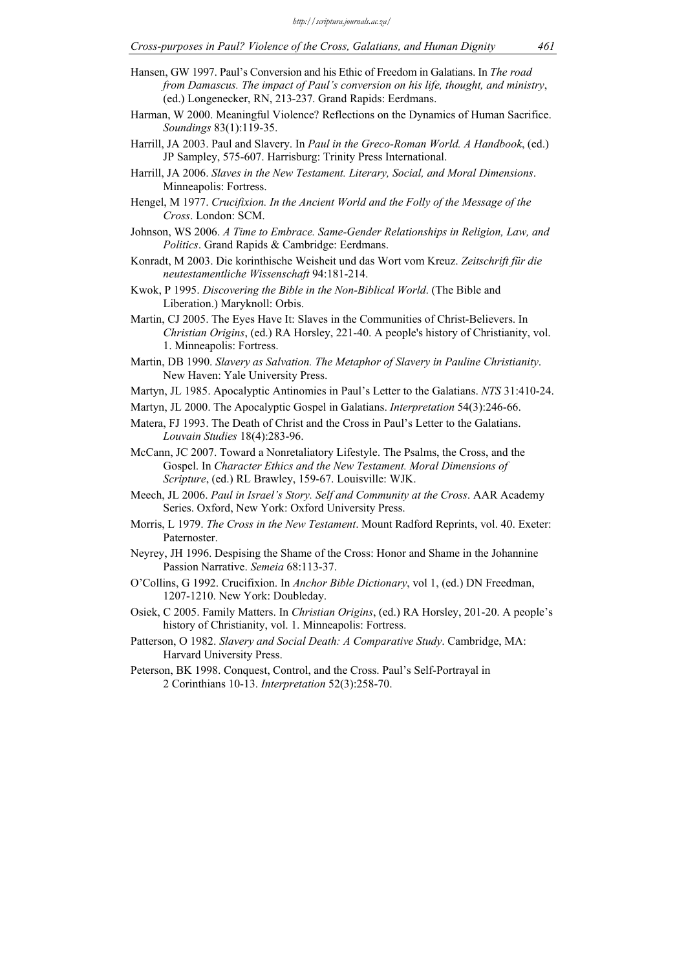- Hansen, GW 1997. Paul's Conversion and his Ethic of Freedom in Galatians. In *The road from Damascus. The impact of Paul's conversion on his life, thought, and ministry*, (ed.) Longenecker, RN, 213-237. Grand Rapids: Eerdmans.
- Harman, W 2000. Meaningful Violence? Reflections on the Dynamics of Human Sacrifice. *Soundings* 83(1):119-35.
- Harrill, JA 2003. Paul and Slavery. In *Paul in the Greco-Roman World. A Handbook*, (ed.) JP Sampley, 575-607. Harrisburg: Trinity Press International.
- Harrill, JA 2006. *Slaves in the New Testament. Literary, Social, and Moral Dimensions*. Minneapolis: Fortress.
- Hengel, M 1977. *Crucifixion. In the Ancient World and the Folly of the Message of the Cross*. London: SCM.
- Johnson, WS 2006. *A Time to Embrace. Same-Gender Relationships in Religion, Law, and Politics*. Grand Rapids & Cambridge: Eerdmans.
- Konradt, M 2003. Die korinthische Weisheit und das Wort vom Kreuz. *Zeitschrift für die neutestamentliche Wissenschaft* 94:181-214.
- Kwok, P 1995. *Discovering the Bible in the Non-Biblical World*. (The Bible and Liberation.) Maryknoll: Orbis.
- Martin, CJ 2005. The Eyes Have It: Slaves in the Communities of Christ-Believers. In *Christian Origins*, (ed.) RA Horsley, 221-40. A people's history of Christianity, vol. 1. Minneapolis: Fortress.
- Martin, DB 1990. *Slavery as Salvation. The Metaphor of Slavery in Pauline Christianity*. New Haven: Yale University Press.
- Martyn, JL 1985. Apocalyptic Antinomies in Paul's Letter to the Galatians. *NTS* 31:410-24.
- Martyn, JL 2000. The Apocalyptic Gospel in Galatians. *Interpretation* 54(3):246-66.
- Matera, FJ 1993. The Death of Christ and the Cross in Paul's Letter to the Galatians. *Louvain Studies* 18(4):283-96.
- McCann, JC 2007. Toward a Nonretaliatory Lifestyle. The Psalms, the Cross, and the Gospel. In *Character Ethics and the New Testament. Moral Dimensions of Scripture*, (ed.) RL Brawley, 159-67. Louisville: WJK.
- Meech, JL 2006. *Paul in Israel's Story. Self and Community at the Cross*. AAR Academy Series. Oxford, New York: Oxford University Press.
- Morris, L 1979. *The Cross in the New Testament*. Mount Radford Reprints, vol. 40. Exeter: Paternoster.
- Neyrey, JH 1996. Despising the Shame of the Cross: Honor and Shame in the Johannine Passion Narrative. *Semeia* 68:113-37.
- O'Collins, G 1992. Crucifixion. In *Anchor Bible Dictionary*, vol 1, (ed.) DN Freedman, 1207-1210. New York: Doubleday.
- Osiek, C 2005. Family Matters. In *Christian Origins*, (ed.) RA Horsley, 201-20. A people's history of Christianity, vol. 1. Minneapolis: Fortress.
- Patterson, O 1982. *Slavery and Social Death: A Comparative Study*. Cambridge, MA: Harvard University Press.
- Peterson, BK 1998. Conquest, Control, and the Cross. Paul's Self-Portrayal in 2 Corinthians 10-13. *Interpretation* 52(3):258-70.